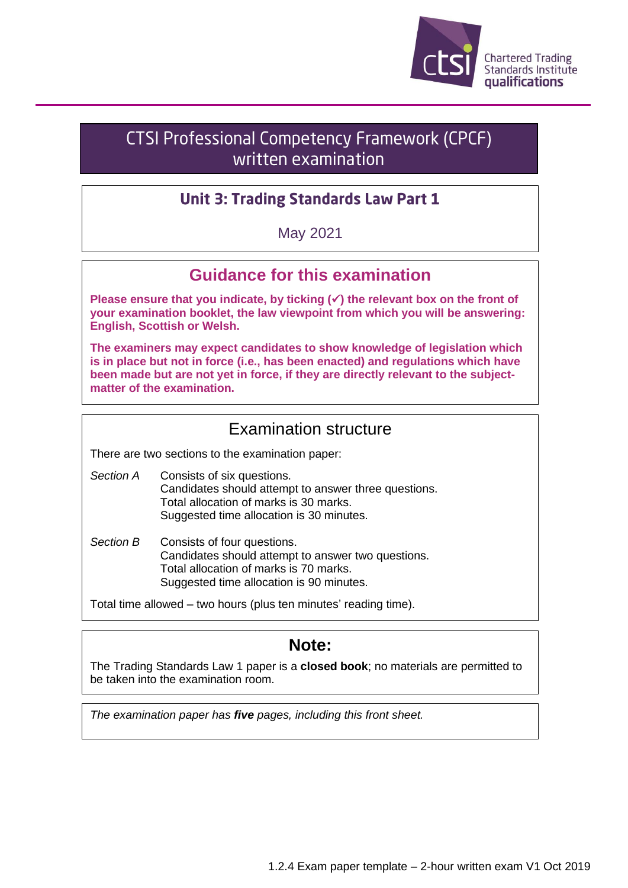

# **CTSI Professional Competency Framework (CPCF)** written examination

## **Unit 3: Trading Standards Law Part 1**

May 2021

# **Guidance for this examination**

**Please ensure that you indicate, by ticking (**✓**) the relevant box on the front of your examination booklet, the law viewpoint from which you will be answering: English, Scottish or Welsh.**

**The examiners may expect candidates to show knowledge of legislation which is in place but not in force (i.e., has been enacted) and regulations which have been made but are not yet in force, if they are directly relevant to the subjectmatter of the examination.**

### Examination structure

There are two sections to the examination paper:

- *Section A* Consists of six questions. Candidates should attempt to answer three questions. Total allocation of marks is 30 marks. Suggested time allocation is 30 minutes.
- *Section B* Consists of four questions. Candidates should attempt to answer two questions. Total allocation of marks is 70 marks. Suggested time allocation is 90 minutes.

Total time allowed – two hours (plus ten minutes' reading time).

## **Note:**

The Trading Standards Law 1 paper is a **closed book**; no materials are permitted to be taken into the examination room.

*The examination paper has five pages, including this front sheet.*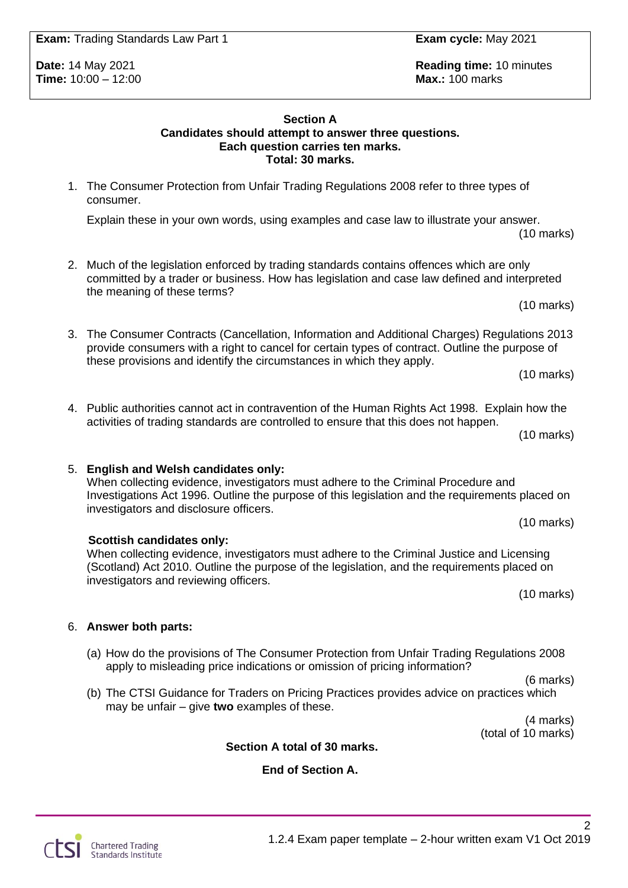**Time: 10:00 – 12:00** 

**Section A Candidates should attempt to answer three questions. Each question carries ten marks. Total: 30 marks.**

1. The Consumer Protection from Unfair Trading Regulations 2008 refer to three types of consumer.

Explain these in your own words, using examples and case law to illustrate your answer. (10 marks)

- 2. Much of the legislation enforced by trading standards contains offences which are only committed by a trader or business. How has legislation and case law defined and interpreted the meaning of these terms?
- 3. The Consumer Contracts (Cancellation, Information and Additional Charges) Regulations 2013 provide consumers with a right to cancel for certain types of contract. Outline the purpose of these provisions and identify the circumstances in which they apply.
- 4. Public authorities cannot act in contravention of the Human Rights Act 1998. Explain how the activities of trading standards are controlled to ensure that this does not happen. (10 marks)

When collecting evidence, investigators must adhere to the Criminal Procedure and Investigations Act 1996. Outline the purpose of this legislation and the requirements placed on investigators and disclosure officers. (10 marks)

**Scottish candidates only:** When collecting evidence, investigators must adhere to the Criminal Justice and Licensing

(Scotland) Act 2010. Outline the purpose of the legislation, and the requirements placed on investigators and reviewing officers.

(10 marks)

**Section A total of 30 marks.**

**End of Section A.**

6. **Answer both parts:**

**Chartered Trading** Standards Institute

5. **English and Welsh candidates only:**

- apply to misleading price indications or omission of pricing information?
	- (b) The CTSI Guidance for Traders on Pricing Practices provides advice on practices which may be unfair – give **two** examples of these.

(a) How do the provisions of The Consumer Protection from Unfair Trading Regulations 2008

(4 marks) (total of 10 marks)

 $\mathfrak{D}$ 

(10 marks)

(10 marks)

(6 marks)

**Date:** 14 May 2021 **Reading time:** 10 minutes **Reading time:** 10 minutes **Time:** 10 minutes **Time:** 10 minutes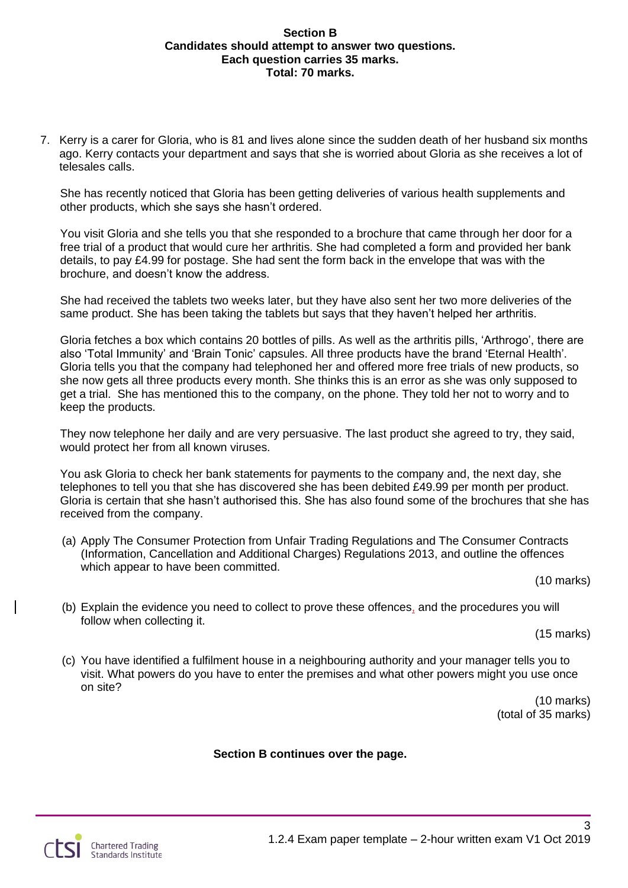#### **Section B Candidates should attempt to answer two questions. Each question carries 35 marks. Total: 70 marks.**

7. Kerry is a carer for Gloria, who is 81 and lives alone since the sudden death of her husband six months ago. Kerry contacts your department and says that she is worried about Gloria as she receives a lot of telesales calls.

She has recently noticed that Gloria has been getting deliveries of various health supplements and other products, which she says she hasn't ordered.

You visit Gloria and she tells you that she responded to a brochure that came through her door for a free trial of a product that would cure her arthritis. She had completed a form and provided her bank details, to pay £4.99 for postage. She had sent the form back in the envelope that was with the brochure, and doesn't know the address.

She had received the tablets two weeks later, but they have also sent her two more deliveries of the same product. She has been taking the tablets but says that they haven't helped her arthritis.

Gloria fetches a box which contains 20 bottles of pills. As well as the arthritis pills, 'Arthrogo', there are also 'Total Immunity' and 'Brain Tonic' capsules. All three products have the brand 'Eternal Health'. Gloria tells you that the company had telephoned her and offered more free trials of new products, so she now gets all three products every month. She thinks this is an error as she was only supposed to get a trial. She has mentioned this to the company, on the phone. They told her not to worry and to keep the products.

They now telephone her daily and are very persuasive. The last product she agreed to try, they said, would protect her from all known viruses.

You ask Gloria to check her bank statements for payments to the company and, the next day, she telephones to tell you that she has discovered she has been debited £49.99 per month per product. Gloria is certain that she hasn't authorised this. She has also found some of the brochures that she has received from the company.

(a) Apply The Consumer Protection from Unfair Trading Regulations and The Consumer Contracts (Information, Cancellation and Additional Charges) Regulations 2013, and outline the offences which appear to have been committed.

(10 marks)

(b) Explain the evidence you need to collect to prove these offences, and the procedures you will follow when collecting it.

(15 marks)

(c) You have identified a fulfilment house in a neighbouring authority and your manager tells you to visit. What powers do you have to enter the premises and what other powers might you use once on site?

(10 marks) (total of 35 marks)

#### **Section B continues over the page.**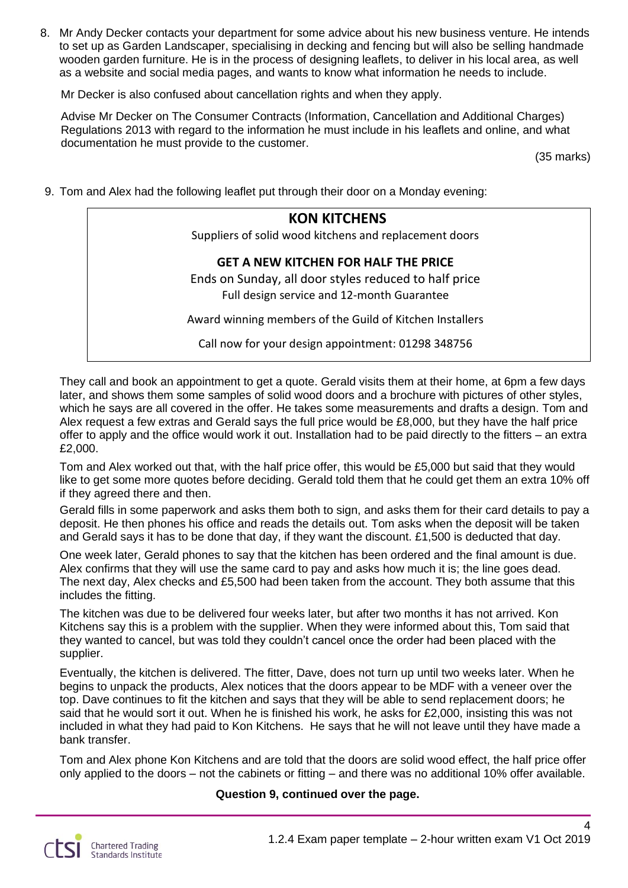8. Mr Andy Decker contacts your department for some advice about his new business venture. He intends to set up as Garden Landscaper, specialising in decking and fencing but will also be selling handmade wooden garden furniture. He is in the process of designing leaflets, to deliver in his local area, as well as a website and social media pages, and wants to know what information he needs to include.

Mr Decker is also confused about cancellation rights and when they apply.

Advise Mr Decker on The Consumer Contracts (Information, Cancellation and Additional Charges) Regulations 2013 with regard to the information he must include in his leaflets and online, and what documentation he must provide to the customer.

(35 marks)

4

9. Tom and Alex had the following leaflet put through their door on a Monday evening:

### **KON KITCHENS**

Suppliers of solid wood kitchens and replacement doors

#### **GET A NEW KITCHEN FOR HALF THE PRICE**

Ends on Sunday, all door styles reduced to half price Full design service and 12-month Guarantee

Award winning members of the Guild of Kitchen Installers

Call now for your design appointment: 01298 348756

They call and book an appointment to get a quote. Gerald visits them at their home, at 6pm a few days later, and shows them some samples of solid wood doors and a brochure with pictures of other styles, which he says are all covered in the offer. He takes some measurements and drafts a design. Tom and Alex request a few extras and Gerald says the full price would be £8,000, but they have the half price offer to apply and the office would work it out. Installation had to be paid directly to the fitters – an extra £2,000.

Tom and Alex worked out that, with the half price offer, this would be £5,000 but said that they would like to get some more quotes before deciding. Gerald told them that he could get them an extra 10% off if they agreed there and then.

Gerald fills in some paperwork and asks them both to sign, and asks them for their card details to pay a deposit. He then phones his office and reads the details out. Tom asks when the deposit will be taken and Gerald says it has to be done that day, if they want the discount. £1,500 is deducted that day.

One week later, Gerald phones to say that the kitchen has been ordered and the final amount is due. Alex confirms that they will use the same card to pay and asks how much it is; the line goes dead. The next day, Alex checks and £5,500 had been taken from the account. They both assume that this includes the fitting.

The kitchen was due to be delivered four weeks later, but after two months it has not arrived. Kon Kitchens say this is a problem with the supplier. When they were informed about this, Tom said that they wanted to cancel, but was told they couldn't cancel once the order had been placed with the supplier.

Eventually, the kitchen is delivered. The fitter, Dave, does not turn up until two weeks later. When he begins to unpack the products, Alex notices that the doors appear to be MDF with a veneer over the top. Dave continues to fit the kitchen and says that they will be able to send replacement doors; he said that he would sort it out. When he is finished his work, he asks for £2,000, insisting this was not included in what they had paid to Kon Kitchens. He says that he will not leave until they have made a bank transfer.

Tom and Alex phone Kon Kitchens and are told that the doors are solid wood effect, the half price offer only applied to the doors – not the cabinets or fitting – and there was no additional 10% offer available.

#### **Question 9, continued over the page.**